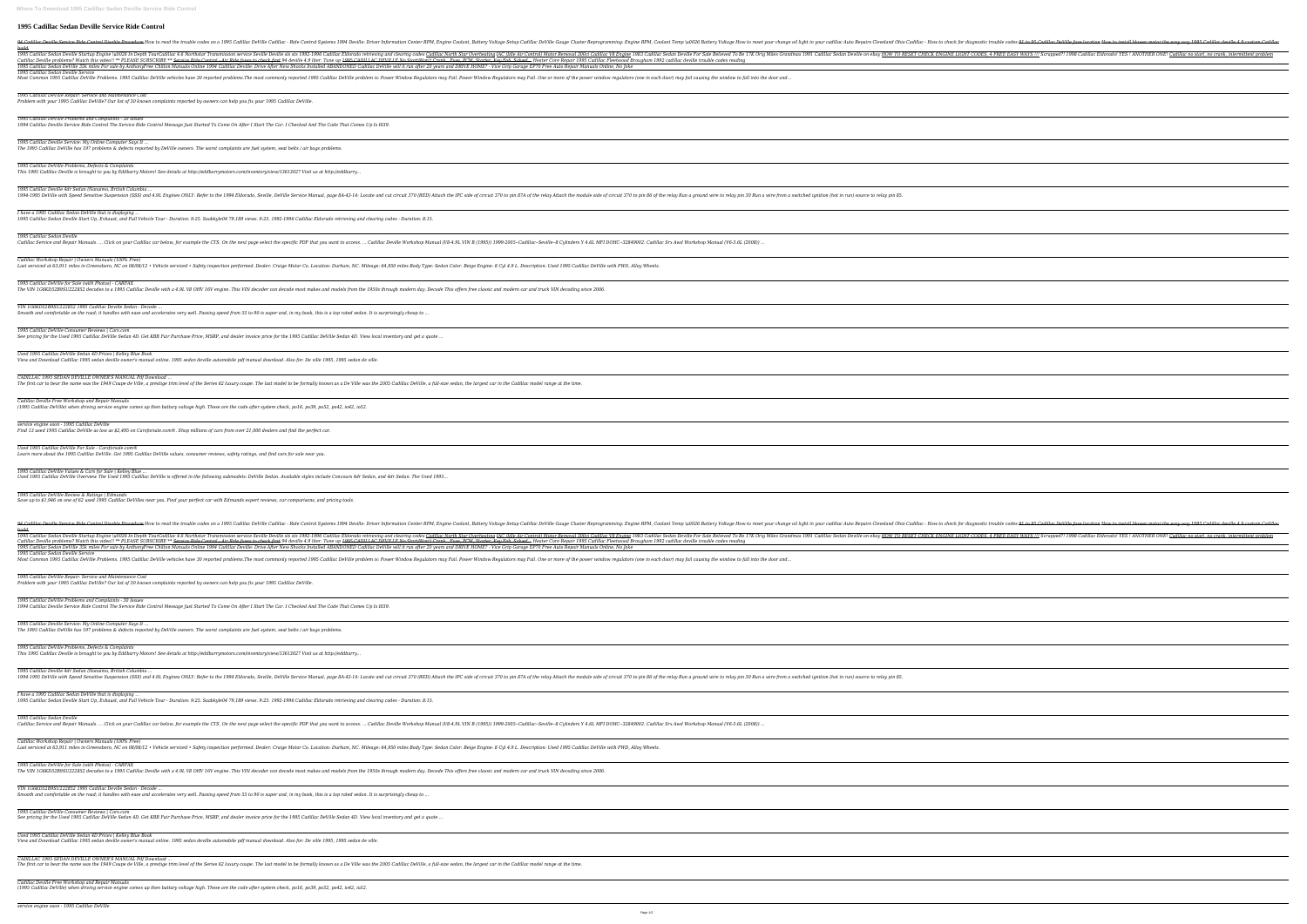## **1995 Cadillac Sedan Deville Service Ride Control**

*build* Ighner Sedan Deville Startup Engine \u0026 In Depth TourCadillac 4.6 Northstar Transmission service Seville Deville Deville Believed To Be 17K Orig Miles Grandmas 1991 Cadillac North Star Corel 2.998 Cadillac Eldorado retr 1995 Cadillac Sedan DeVille 35k miles For sale by AnthonyFree Chilton Manuals Online 1994 Cadillac Deville: Drive After New Shocks Installed ABANDONED Cadillac DeVille will it run after 20 years and DRIVE HOME? - Vice Grip

94 Cadillac Deville Service Ride Control Disable Procedure How to read the trouble codes on a 1995 Cadillac DeVille Cadillac DeVille Cadillac - Ride Control Systems 1994 Deville: Driver Information Center RPM, Engine Coola *build* Cadillac Deville problems? Watch this video!! \*\* PLEASE SUBSCRIBE \*\* Service Ride Control - Air Ride fuses to check first 94 deville 4.9 liter. Tune up 1995 CADILLAC DEVILLE No Start/Won't Crank...Fuse, PCM, Starter, Key F Most Common 1995 Cadillac DeVille Problems. 1995 Cadillac DeVille vehicles have 30 reported problems.The most commonly reported 1995 Cadillac DeVille problem is: Power Window Regulators may Fail. Power Window Regulators ma *Problem with your 1995 Cadillac DeVille? Our list of 30 known complaints reported by owners can help you fix your 1995 Cadillac DeVille. 1995 Cadillac DeVille Problems and Complaints - 30 Issues* 1994 Cadillac Deville Service Ride Control The Service Ride Control Message Just Started To Come On After I Start The Car. I Checked And The Code That Comes Up Is 1039. *1995 Cadillac Deville Service: My Online Computer Says It ... 1995 Cadillac DeVille Problems, Defects & Complaints This 1995 Cadillac Deville is brought to you by Eddbarry Motors! See details at http://eddbarrymotors.com/inventory/view/13613027 Visit us at http://eddbarry... 1995 Cadillac Deville 4dr Sedan (Nanaimo, British Columbia ...* 1994-1995 DeVille with Speed Sensitive Suspension (SSS) and 4.9L Engines ONLY: Refer to the 1994 Eldorado, Seville, DeVille Service Manual, page 8A-43-14: Locate and cut circuit 370 (RED) Attach the IPC side of circuit 370 *I have a 1995 Cadillac Sedan DeVille that is displaying ... 1995 Cadillac Sedan Deville Start Up, Exhaust, and Full Vehicle Tour - Duration: 9:25. Saabkyle04 79,189 views. 9:25. 1992-1996 Cadillac Eldorado retrieving and clearing codes - Duration: 8:15. 1995 Cadillac Sedan Deville* Cadillac Service and Repair Manuals. ... Click on your Cadillac car below, for example the CTS. On the next page select the specific PDF that you want to access. ... Cadillac Deville Workshop Manual (V8-4.9L VIN B (1995)) *Cadillac Workshop Repair | Owners Manuals (100% Free) 1995 Cadillac DeVille for Sale (with Photos) - CARFAX* The VIN 1G6KD52B9SU222852 decodes to a 1995 Cadillac Deville with a 4.9L V8 OHV 16V engine. This VIN decoder can decode most makes and models from the 1950s through modern day. Decode This offers free classic and modern ca *VIN 1G6KD52B9SU222852 1995 Cadillac Deville Sedan - Decode ... Smooth and comfortable on the road; it handles with ease and accelerates very well. Passing speed from 55 to 90 is super and, in my book, this is a top rated sedan. It is surprisingly cheap to ... 1995 Cadillac DeVille Consumer Reviews | Cars.com See pricing for the Used 1995 Cadillac DeVille Sedan 4D. Get KBB Fair Purchase Price, MSRP, and dealer invoice price for the 1995 Cadillac DeVille Sedan 4D. View local inventory and get a quote ... Used 1995 Cadillac DeVille Sedan 4D Prices | Kelley Blue Book View and Download Cadillac 1995 sedan deville owner's manual online. 1995 sedan deville automobile pdf manual download. Also for: De ville 1995, 1995 sedan de ville.* The first car to bear the name was the 1949 Coupe de Ville, a prestige trim level of the Series 62 luxury coupe. The last model to be formally known as a De Ville was the 2005 Cadillac DeVille, a full-size sedan, the large *Cadillac Deville Free Workshop and Repair Manuals (1995 Cadillac DeVille) when driving service engine comes up then battary voltage high. These are the code after system check, po16, po39, po52, po42, io42, io52. Find 13 used 1995 Cadillac DeVille as low as \$2,495 on Carsforsale.com®. Shop millions of cars from over 21,000 dealers and find the perfect car. Used 1995 Cadillac DeVille For Sale - Carsforsale.com® Learn more about the 1995 Cadillac DeVille. Get 1995 Cadillac DeVille values, consumer reviews, safety ratings, and find cars for sale near you. 1995 Cadillac DeVille Values & Cars for Sale | Kelley Blue ... 1995 Cadillac DeVille Review & Ratings | Edmunds Save up to \$1,946 on one of 62 used 1995 Cadillac DeVilles near you. Find your perfect car with Edmunds expert reviews, car comparisons, and pricing tools.* 94 Cadillac Deville Service Ride Control Disable Procedure How to read the trouble codes on a 1995 Cadillac DeVille Cadillac DeVille Cadillac - Ride Control Systems 1994 Deville: Driver Information Center RPM, Engine Coola *1995 Cadillac Sedan Deville Service* Most Common 1995 Cadillac DeVille Problems. 1995 Cadillac DeVille vehicles have 30 reported problems.The most commonly reported 1995 Cadillac DeVille problem is: Power Window Regulators may Fail. Power Window Regulators ma *1995 Cadillac DeVille Repair: Service and Maintenance Cost Problem with your 1995 Cadillac DeVille? Our list of 30 known complaints reported by owners can help you fix your 1995 Cadillac DeVille. 1995 Cadillac DeVille Problems and Complaints - 30 Issues* 1994 Cadillac Deville Service Ride Control The Service Ride Control Message Just Started To Come On After I Start The Car. I Checked And The Code That Comes Up Is 1039. *1995 Cadillac Deville Service: My Online Computer Says It ... 1995 Cadillac DeVille Problems, Defects & Complaints This 1995 Cadillac Deville is brought to you by Eddbarry Motors! See details at http://eddbarrymotors.com/inventory/view/13613027 Visit us at http://eddbarry... I have a 1995 Cadillac Sedan DeVille that is displaying ... 1995 Cadillac Sedan Deville Start Up, Exhaust, and Full Vehicle Tour - Duration: 9:25. Saabkyle04 79,189 views. 9:25. 1992-1996 Cadillac Eldorado retrieving and clearing codes - Duration: 8:15. 1995 Cadillac Sedan Deville* Cadillac Service and Repair Manuals. ... Click on your Cadillac car below, for example the CTS. On the next page select the specific PDF that you want to access. ... Cadillac Deville Workshop Manual (V8-4.9L VIN B (1995)) *Cadillac Workshop Repair | Owners Manuals (100% Free)* Last serviced at 63,911 miles in Greensboro, NC on 08/08/12 • Vehicle serviced • Safety inspection performed. Dealer: Craige Motor Co. Location: Durham, NC. Mileage: 64,950 miles Body Type: Sedan Color: Beige Engine: 8 Cyl *1995 Cadillac DeVille for Sale (with Photos) - CARFAX VIN 1G6KD52B9SU222852 1995 Cadillac Deville Sedan - Decode ... Smooth and comfortable on the road; it handles with ease and accelerates very well. Passing speed from 55 to 90 is super and, in my book, this is a top rated sedan. It is surprisingly cheap to ... 1995 Cadillac DeVille Consumer Reviews | Cars.com See pricing for the Used 1995 Cadillac DeVille Sedan 4D. Get KBB Fair Purchase Price, MSRP, and dealer invoice price for the 1995 Cadillac DeVille Sedan 4D. View local inventory and get a quote ... Used 1995 Cadillac DeVille Sedan 4D Prices | Kelley Blue Book View and Download Cadillac 1995 sedan deville owner's manual online. 1995 sedan deville automobile pdf manual download. Also for: De ville 1995, 1995 sedan de ville.*

1995 Cadillac Sedan Deville Startup Engine \u0026 In Depth TourCadillac 4.6 Northstar Transmission service Seville Deville Sis sts 1992-1996 Cadillac Eldorado retrieving and clearing codes Cadillac North Star Overheating I 1995 Cadillac Sedan DeVille 35k miles For sale by AnthonyFree Chilton Manuals Online 1994 Cadillac Deville: Drive After New Shocks Installed ABANDONED Cadillac DeVille will it run after 20 years and DRIVE HOME? - Vice Grip *1995 Cadillac Sedan Deville Service 1995 Cadillac DeVille Repair: Service and Maintenance Cost The 1995 Cadillac DeVille has 197 problems & defects reported by DeVille owners. The worst complaints are fuel system, seat belts / air bags problems.* Last serviced at 63,911 miles in Greensboro, NC on 08/08/12 • Vehicle serviced • Safety inspection performed. Dealer: Craige Motor Co. Location: Durham, NC. Mileage: 64,950 miles Body Type: Sedan Color: Beige Engine: 8 Cyl *CADILLAC 1995 SEDAN DEVILLE OWNER'S MANUAL Pdf Download ... service engine soon - 1995 Cadillac DeVille Used 1995 Cadillac DeVille Overview The Used 1995 Cadillac DeVille is offered in the following submodels: DeVille Sedan. Available styles include Concours 4dr Sedan, and 4dr Sedan. The Used 1995...* Cadillac Deville problems? Watch this video!! \*\* PLEASE SUBSCRIBE \*\* <del>Service Ride Control - Air Ride fuses to check first</del> 94 deville 4.9 liter. Tune up <del>1995 CADILLAC DEVILLE No Start/Won't Crank...Fuse, PCM, Starter, Ke</del> *The 1995 Cadillac DeVille has 197 problems & defects reported by DeVille owners. The worst complaints are fuel system, seat belts / air bags problems.* 1994-1995 DeVille with Speed Sensitive Suspension (SSS) and 4.9L Engines ONLY: Refer to the 1994 Eldorado, Seville, DeVille Service Manual, page 8A-43-14: Locate and cut circuit 370 (RED) Attach the IPC side of circuit 370 The VIN 1G6KD52B9SU222852 decodes to a 1995 Cadillac Deville with a 4.9L V8 OHV 16V engine. This VIN decoder can decode most makes and models from the 1950s through modern day. Decode This offers free classic and modern ca

*1995 Cadillac Deville 4dr Sedan (Nanaimo, British Columbia ...*

*CADILLAC 1995 SEDAN DEVILLE OWNER'S MANUAL Pdf Download ...*

The first car to bear the name was the 1949 Coupe de Ville, a prestige trim level of the Series 62 luxury coupe. The last model to be formally known as a De Ville was the 2005 Cadillac DeVille, a full-size sedan, the large

*Cadillac Deville Free Workshop and Repair Manuals (1995 Cadillac DeVille) when driving service engine comes up then battary voltage high. These are the code after system check, po16, po39, po52, po42, io42, io52.*

| Battery Voltage How to reset your change oil light in your cadillac Auto Repairs Cleveland Ohio Cadillac - How to check for diagnostic trouble codes 91 to 95 Cadillac DeVille fuse location How to install blower motor the e                                                                                                                                                                                                                                              |
|-----------------------------------------------------------------------------------------------------------------------------------------------------------------------------------------------------------------------------------------------------------------------------------------------------------------------------------------------------------------------------------------------------------------------------------------------------------------------------|
| Sale Believed To Be 17K Orig Miles Grandmas 1991 Cadillac Sedan Deville on ebay HOW TO RESET CHECK ENGINE LIGHT CODES, 4 FREE EASY WAYS !!! Scrapped?! 1998 Cadillac Eldorado! YES ! ANOTHER ONE! Cadillac no start, no crank,<br>rouble codes reading                                                                                                                                                                                                                      |
| sing the window to fall into the door and                                                                                                                                                                                                                                                                                                                                                                                                                                   |
|                                                                                                                                                                                                                                                                                                                                                                                                                                                                             |
|                                                                                                                                                                                                                                                                                                                                                                                                                                                                             |
|                                                                                                                                                                                                                                                                                                                                                                                                                                                                             |
|                                                                                                                                                                                                                                                                                                                                                                                                                                                                             |
|                                                                                                                                                                                                                                                                                                                                                                                                                                                                             |
|                                                                                                                                                                                                                                                                                                                                                                                                                                                                             |
|                                                                                                                                                                                                                                                                                                                                                                                                                                                                             |
| und wire to relay pin 30 Run a wire from a switched ignition (hot in run) source to relay pin 85.                                                                                                                                                                                                                                                                                                                                                                           |
|                                                                                                                                                                                                                                                                                                                                                                                                                                                                             |
| op Manual (V6-3.6L (2008))                                                                                                                                                                                                                                                                                                                                                                                                                                                  |
|                                                                                                                                                                                                                                                                                                                                                                                                                                                                             |
|                                                                                                                                                                                                                                                                                                                                                                                                                                                                             |
|                                                                                                                                                                                                                                                                                                                                                                                                                                                                             |
|                                                                                                                                                                                                                                                                                                                                                                                                                                                                             |
|                                                                                                                                                                                                                                                                                                                                                                                                                                                                             |
|                                                                                                                                                                                                                                                                                                                                                                                                                                                                             |
|                                                                                                                                                                                                                                                                                                                                                                                                                                                                             |
|                                                                                                                                                                                                                                                                                                                                                                                                                                                                             |
|                                                                                                                                                                                                                                                                                                                                                                                                                                                                             |
|                                                                                                                                                                                                                                                                                                                                                                                                                                                                             |
|                                                                                                                                                                                                                                                                                                                                                                                                                                                                             |
|                                                                                                                                                                                                                                                                                                                                                                                                                                                                             |
|                                                                                                                                                                                                                                                                                                                                                                                                                                                                             |
|                                                                                                                                                                                                                                                                                                                                                                                                                                                                             |
|                                                                                                                                                                                                                                                                                                                                                                                                                                                                             |
|                                                                                                                                                                                                                                                                                                                                                                                                                                                                             |
|                                                                                                                                                                                                                                                                                                                                                                                                                                                                             |
| Battery Voltage How to reset your change oil light in your cadillac Auto Repairs Cleveland Ohio Cadillac - How to check for diagnostic trouble codes 91 to 95 Cadillac DeVille fuse location How to install blower motor the e<br>Sale Believed To Be 17K Orig Miles Grandmas 1991 Cadillac Sedan Deville on ebay <u>HOW TO RESET CHECK ENGINE LIGHT CODES, 4 FREE EASY WAYS !!!</u> Scrapped?! 1998 Cadillac Eldorado! YES ! ANOTHER ONE! <u>Cadillac no start, no cra</u> |
| rouble codes reading                                                                                                                                                                                                                                                                                                                                                                                                                                                        |
| ising the window to fall into the door and                                                                                                                                                                                                                                                                                                                                                                                                                                  |
|                                                                                                                                                                                                                                                                                                                                                                                                                                                                             |
|                                                                                                                                                                                                                                                                                                                                                                                                                                                                             |
|                                                                                                                                                                                                                                                                                                                                                                                                                                                                             |
|                                                                                                                                                                                                                                                                                                                                                                                                                                                                             |
|                                                                                                                                                                                                                                                                                                                                                                                                                                                                             |
|                                                                                                                                                                                                                                                                                                                                                                                                                                                                             |
| und wire to relay pin 30 Run a wire from a switched ignition (hot in run) source to relay pin 85.                                                                                                                                                                                                                                                                                                                                                                           |
|                                                                                                                                                                                                                                                                                                                                                                                                                                                                             |
|                                                                                                                                                                                                                                                                                                                                                                                                                                                                             |
| op Manual (V6-3.6L (2008))                                                                                                                                                                                                                                                                                                                                                                                                                                                  |
|                                                                                                                                                                                                                                                                                                                                                                                                                                                                             |
| <u>,这就是这么多,我们就是这么多,我们就是这么多,我们就是我们的,我们就是我们的,我们就是我们的,我们就是我们的,我们就是我们的,我们就是我们的,我们就是我们</u>                                                                                                                                                                                                                                                                                                                                                                                       |
|                                                                                                                                                                                                                                                                                                                                                                                                                                                                             |
|                                                                                                                                                                                                                                                                                                                                                                                                                                                                             |
|                                                                                                                                                                                                                                                                                                                                                                                                                                                                             |
| <u>,这就是这么多,我们就是这么多,我们就是这么多,我们就是我们的,我们就是我们的,我们就是我们的,我们就是我们的,我们就是我们的,我们就是我们的,我们就是我们</u>                                                                                                                                                                                                                                                                                                                                                                                       |
|                                                                                                                                                                                                                                                                                                                                                                                                                                                                             |
|                                                                                                                                                                                                                                                                                                                                                                                                                                                                             |
|                                                                                                                                                                                                                                                                                                                                                                                                                                                                             |